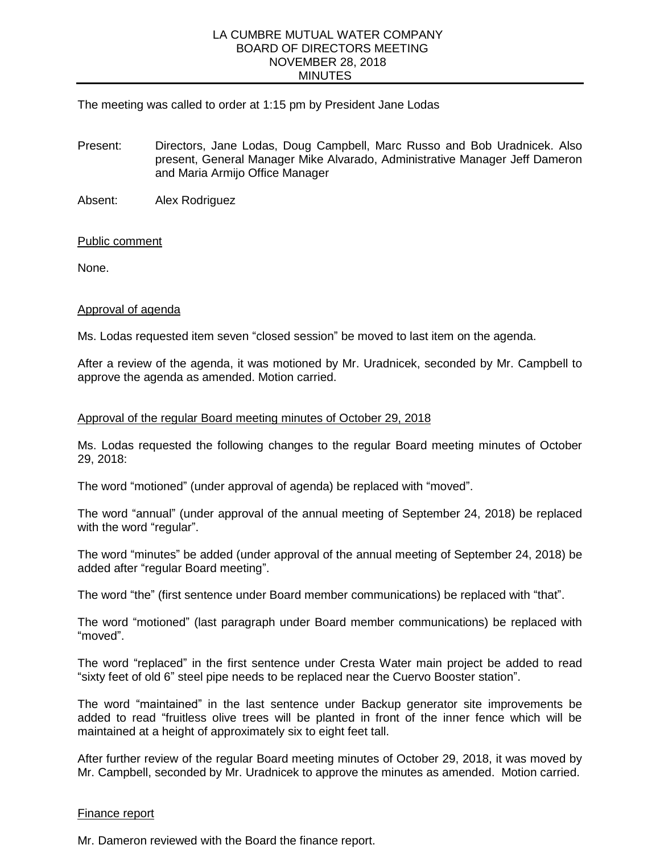### LA CUMBRE MUTUAL WATER COMPANY BOARD OF DIRECTORS MEETING NOVEMBER 28, 2018 **MINUTES**

## The meeting was called to order at 1:15 pm by President Jane Lodas

Present: Directors, Jane Lodas, Doug Campbell, Marc Russo and Bob Uradnicek. Also present, General Manager Mike Alvarado, Administrative Manager Jeff Dameron and Maria Armijo Office Manager

Absent: Alex Rodriguez

## Public comment

None.

#### Approval of agenda

Ms. Lodas requested item seven "closed session" be moved to last item on the agenda.

After a review of the agenda, it was motioned by Mr. Uradnicek, seconded by Mr. Campbell to approve the agenda as amended. Motion carried.

#### Approval of the regular Board meeting minutes of October 29, 2018

Ms. Lodas requested the following changes to the regular Board meeting minutes of October 29, 2018:

The word "motioned" (under approval of agenda) be replaced with "moved".

The word "annual" (under approval of the annual meeting of September 24, 2018) be replaced with the word "regular".

The word "minutes" be added (under approval of the annual meeting of September 24, 2018) be added after "regular Board meeting".

The word "the" (first sentence under Board member communications) be replaced with "that".

The word "motioned" (last paragraph under Board member communications) be replaced with "moved".

The word "replaced" in the first sentence under Cresta Water main project be added to read "sixty feet of old 6" steel pipe needs to be replaced near the Cuervo Booster station".

The word "maintained" in the last sentence under Backup generator site improvements be added to read "fruitless olive trees will be planted in front of the inner fence which will be maintained at a height of approximately six to eight feet tall.

After further review of the regular Board meeting minutes of October 29, 2018, it was moved by Mr. Campbell, seconded by Mr. Uradnicek to approve the minutes as amended. Motion carried.

#### Finance report

Mr. Dameron reviewed with the Board the finance report.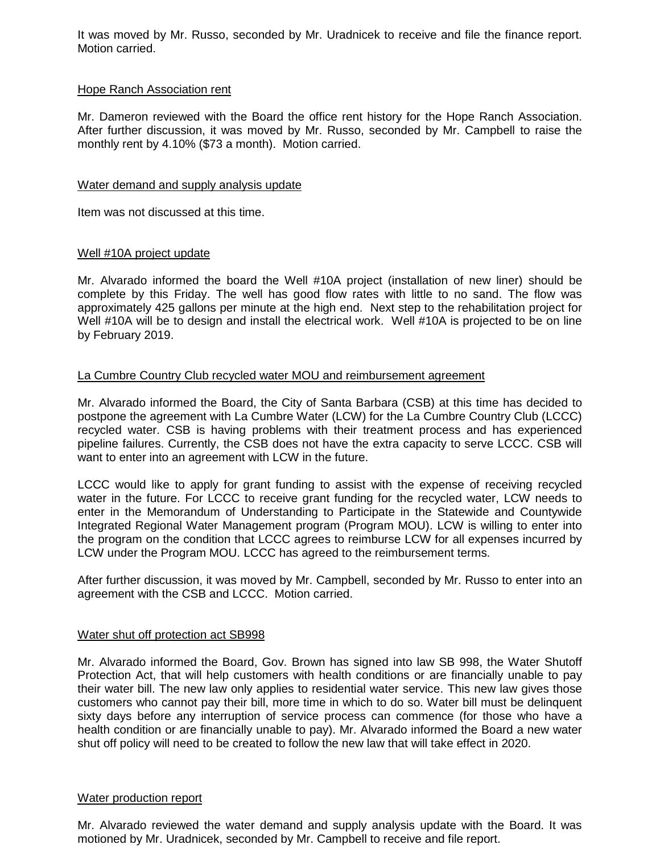It was moved by Mr. Russo, seconded by Mr. Uradnicek to receive and file the finance report. Motion carried.

## Hope Ranch Association rent

Mr. Dameron reviewed with the Board the office rent history for the Hope Ranch Association. After further discussion, it was moved by Mr. Russo, seconded by Mr. Campbell to raise the monthly rent by 4.10% (\$73 a month). Motion carried.

## Water demand and supply analysis update

Item was not discussed at this time.

# Well #10A project update

Mr. Alvarado informed the board the Well #10A project (installation of new liner) should be complete by this Friday. The well has good flow rates with little to no sand. The flow was approximately 425 gallons per minute at the high end. Next step to the rehabilitation project for Well #10A will be to design and install the electrical work. Well #10A is projected to be on line by February 2019.

# La Cumbre Country Club recycled water MOU and reimbursement agreement

Mr. Alvarado informed the Board, the City of Santa Barbara (CSB) at this time has decided to postpone the agreement with La Cumbre Water (LCW) for the La Cumbre Country Club (LCCC) recycled water. CSB is having problems with their treatment process and has experienced pipeline failures. Currently, the CSB does not have the extra capacity to serve LCCC. CSB will want to enter into an agreement with LCW in the future.

LCCC would like to apply for grant funding to assist with the expense of receiving recycled water in the future. For LCCC to receive grant funding for the recycled water, LCW needs to enter in the Memorandum of Understanding to Participate in the Statewide and Countywide Integrated Regional Water Management program (Program MOU). LCW is willing to enter into the program on the condition that LCCC agrees to reimburse LCW for all expenses incurred by LCW under the Program MOU. LCCC has agreed to the reimbursement terms.

After further discussion, it was moved by Mr. Campbell, seconded by Mr. Russo to enter into an agreement with the CSB and LCCC. Motion carried.

## Water shut off protection act SB998

Mr. Alvarado informed the Board, Gov. Brown has signed into law SB 998, the Water Shutoff Protection Act, that will help customers with health conditions or are financially unable to pay their water bill. The new law only applies to residential water service. This new law gives those customers who cannot pay their bill, more time in which to do so. Water bill must be delinquent sixty days before any interruption of service process can commence (for those who have a health condition or are financially unable to pay). Mr. Alvarado informed the Board a new water shut off policy will need to be created to follow the new law that will take effect in 2020.

#### Water production report

Mr. Alvarado reviewed the water demand and supply analysis update with the Board. It was motioned by Mr. Uradnicek, seconded by Mr. Campbell to receive and file report.